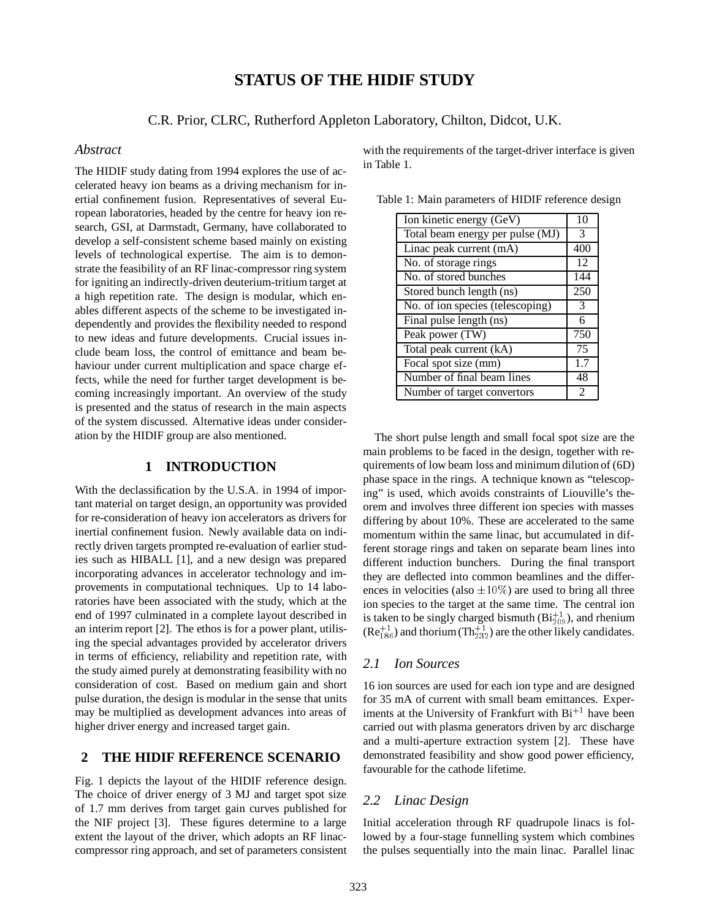# **STATUS OF THE HIDIF STUDY**

C.R. Prior, CLRC, Rutherford Appleton Laboratory, Chilton, Didcot, U.K.

#### *Abstract*

The HIDIF study dating from 1994 explores the use of accelerated heavy ion beams as a driving mechanism for inertial confinement fusion. Representatives of several European laboratories, headed by the centre for heavy ion research, GSI, at Darmstadt, Germany, have collaborated to develop a self-consistent scheme based mainly on existing levels of technological expertise. The aim is to demonstrate the feasibility of an RF linac-compressor ring system for igniting an indirectly-driven deuterium-tritium target at a high repetition rate. The design is modular, which enables different aspects of the scheme to be investigated independently and provides the flexibility needed to respond to new ideas and future developments. Crucial issues include beam loss, the control of emittance and beam behaviour under current multiplication and space charge effects, while the need for further target development is becoming increasingly important. An overview of the study is presented and the status of research in the main aspects of the system discussed. Alternative ideas under consideration by the HIDIF group are also mentioned.

# **1 INTRODUCTION**

With the declassification by the U.S.A. in 1994 of important material on target design, an opportunity was provided for re-consideration of heavy ion accelerators as drivers for inertial confinement fusion. Newly available data on indirectly driven targets prompted re-evaluation of earlier studies such as HIBALL [1], and a new design was prepared incorporating advances in accelerator technology and improvements in computational techniques. Up to 14 laboratories have been associated with the study, which at the end of 1997 culminated in a complete layout described in an interim report [2]. The ethos is for a power plant, utilising the special advantages provided by accelerator drivers in terms of efficiency, reliability and repetition rate, with the study aimed purely at demonstrating feasibility with no consideration of cost. Based on medium gain and short pulse duration, the design is modular in the sense that units may be multiplied as development advances into areas of higher driver energy and increased target gain.

# **2 THE HIDIF REFERENCE SCENARIO**

Fig. 1 depicts the layout of the HIDIF reference design. The choice of driver energy of 3 MJ and target spot size of 1.7 mm derives from target gain curves published for the NIF project [3]. These figures determine to a large extent the layout of the driver, which adopts an RF linaccompressor ring approach, and set of parameters consistent

with the requirements of the target-driver interface is given in Table 1.

Table 1: Main parameters of HIDIF reference design

| Ion kinetic energy (GeV)         | 10             |
|----------------------------------|----------------|
| Total beam energy per pulse (MJ) | 3              |
| Linac peak current (mA)          | 400            |
| No. of storage rings             | 12             |
| No. of stored bunches            | 144            |
| Stored bunch length (ns)         | 250            |
| No. of ion species (telescoping) | 3              |
| Final pulse length (ns)          | 6              |
| Peak power (TW)                  | 750            |
| Total peak current (kA)          | 75             |
| Focal spot size (mm)             | 1.7            |
| Number of final beam lines       | 48             |
| Number of target convertors      | $\mathfrak{D}$ |

The short pulse length and small focal spot size are the main problems to be faced in the design, together with requirements of low beam loss and minimum dilution of (6D) phase space in the rings. A technique known as "telescoping" is used, which avoids constraints of Liouville's theorem and involves three different ion species with masses differing by about 10%. These are accelerated to the same momentum within the same linac, but accumulated in different storage rings and taken on separate beam lines into different induction bunchers. During the final transport they are deflected into common beamlines and the differences in velocities (also  $\pm 10\%$ ) are used to bring all three ion species to the target at the same time. The central ion is taken to be singly charged bismuth  $(Bi_{209}^{+1})$ , and rhenium  $(Re_{186}^{+1})$  and thorium  $(Th_{232}^{+1})$  are the other likely candidates.

# *2.1 Ion Sources*

16 ion sources are used for each ion type and are designed for 35 mA of current with small beam emittances. Experiments at the University of Frankfurt with  $Bi^{+1}$  have been carried out with plasma generators driven by arc discharge and a multi-aperture extraction system [2]. These have demonstrated feasibility and show good power efficiency, favourable for the cathode lifetime.

# *2.2 Linac Design*

Initial acceleration through RF quadrupole linacs is followed by a four-stage funnelling system which combines the pulses sequentially into the main linac. Parallel linac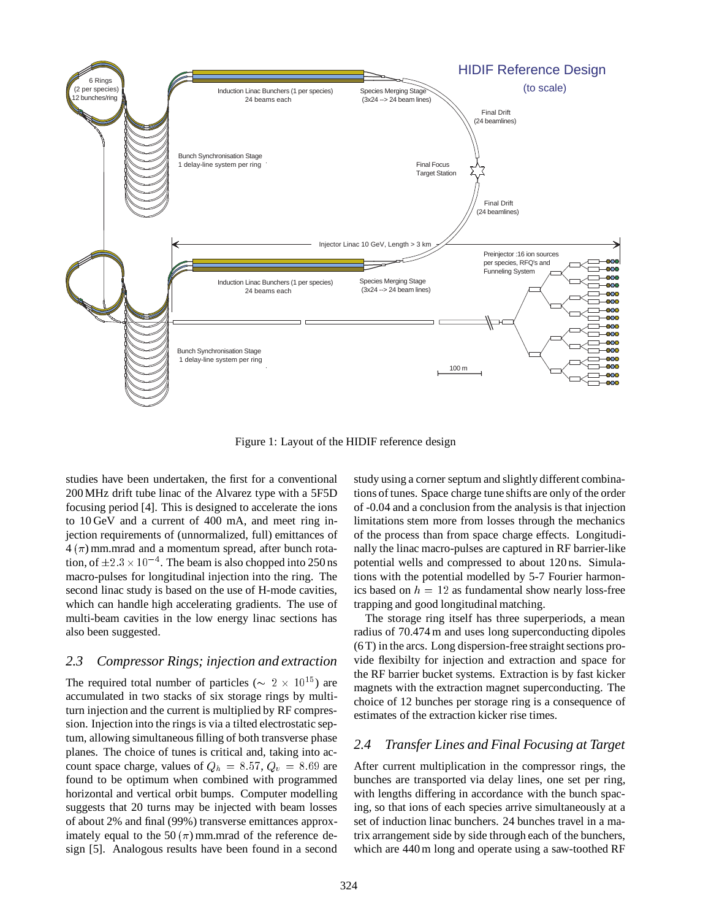

Figure 1: Layout of the HIDIF reference design

studies have been undertaken, the first for a conventional 200 MHz drift tube linac of the Alvarez type with a 5F5D focusing period [4]. This is designed to accelerate the ions to 10 GeV and a current of 400 mA, and meet ring injection requirements of (unnormalized, full) emittances of  $4(\pi)$  mm.mrad and a momentum spread, after bunch rotation, of  $\pm 2.3 \times 10^{-4}$ . The beam is also chopped into 250 ns macro-pulses for longitudinal injection into the ring. The second linac study is based on the use of H-mode cavities, which can handle high accelerating gradients. The use of multi-beam cavities in the low energy linac sections has also been suggested.

#### *2.3 Compressor Rings; injection and extraction*

The required total number of particles ( $\sim 2 \times 10^{15}$ ) are accumulated in two stacks of six storage rings by multiturn injection and the current is multiplied by RF compression. Injection into the rings is via a tilted electrostatic septum, allowing simultaneous filling of both transverse phase planes. The choice of tunes is critical and, taking into account space charge, values of  $Q_h = 8.57$ ,  $Q_v = 8.69$  are found to be optimum when combined with programmed horizontal and vertical orbit bumps. Computer modelling suggests that 20 turns may be injected with beam losses of about 2% and final (99%) transverse emittances approximately equal to the 50  $(\pi)$  mm.mrad of the reference design [5]. Analogous results have been found in a second

study using a corner septum and slightly different combinations of tunes. Space charge tune shifts are only of the order of -0.04 and a conclusion from the analysis is that injection limitations stem more from losses through the mechanics of the process than from space charge effects. Longitudinally the linac macro-pulses are captured in RF barrier-like potential wells and compressed to about 120 ns. Simulations with the potential modelled by 5-7 Fourier harmonics based on  $h = 12$  as fundamental show nearly loss-free trapping and good longitudinal matching.

The storage ring itself has three superperiods, a mean radius of 70.474 m and uses long superconducting dipoles (6 T) in the arcs. Long dispersion-free straight sections provide flexibilty for injection and extraction and space for the RF barrier bucket systems. Extraction is by fast kicker magnets with the extraction magnet superconducting. The choice of 12 bunches per storage ring is a consequence of estimates of the extraction kicker rise times.

# *2.4 Transfer Lines and Final Focusing at Target*

After current multiplication in the compressor rings, the bunches are transported via delay lines, one set per ring, with lengths differing in accordance with the bunch spacing, so that ions of each species arrive simultaneously at a set of induction linac bunchers. 24 bunches travel in a matrix arrangement side by side through each of the bunchers, which are 440 m long and operate using a saw-toothed RF